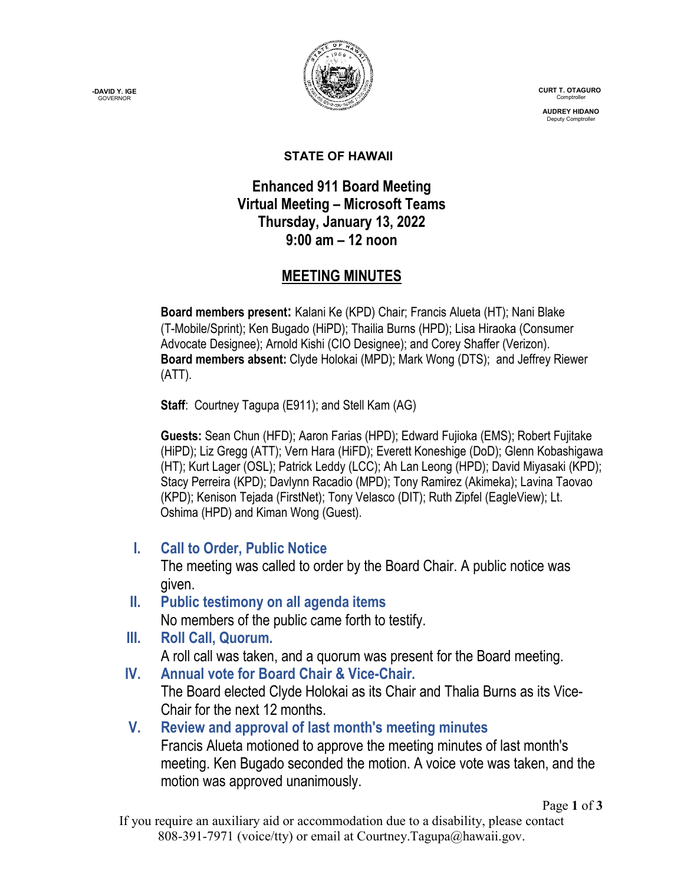**-DAVID Y. IGE GOVERNOR** 



 **CURT T. OTAGURO** Comptrol

 **AUDREY HIDANO** Deputy Comptrol

#### **STATE OF HAWAII**

## **Enhanced 911 Board Meeting Virtual Meeting – Microsoft Teams Thursday, January 13, 2022 9:00 am – 12 noon**

# **MEETING MINUTES**

**Board members present:** Kalani Ke (KPD) Chair; Francis Alueta (HT); Nani Blake (T-Mobile/Sprint); Ken Bugado (HiPD); Thailia Burns (HPD); Lisa Hiraoka (Consumer Advocate Designee); Arnold Kishi (CIO Designee); and Corey Shaffer (Verizon). **Board members absent:** Clyde Holokai (MPD); Mark Wong (DTS); and Jeffrey Riewer (ATT).

**Staff**: Courtney Tagupa (E911); and Stell Kam (AG)

**Guests:** Sean Chun (HFD); Aaron Farias (HPD); Edward Fujioka (EMS); Robert Fujitake (HiPD); Liz Gregg (ATT); Vern Hara (HiFD); Everett Koneshige (DoD); Glenn Kobashigawa (HT); Kurt Lager (OSL); Patrick Leddy (LCC); Ah Lan Leong (HPD); David Miyasaki (KPD); Stacy Perreira (KPD); Davlynn Racadio (MPD); Tony Ramirez (Akimeka); Lavina Taovao (KPD); Kenison Tejada (FirstNet); Tony Velasco (DIT); Ruth Zipfel (EagleView); Lt. Oshima (HPD) and Kiman Wong (Guest).

**I. Call to Order, Public Notice**

The meeting was called to order by the Board Chair. A public notice was given.

- **II. Public testimony on all agenda items** No members of the public came forth to testify.
- **III. Roll Call, Quorum.**

A roll call was taken, and a quorum was present for the Board meeting.

- **IV. Annual vote for Board Chair & Vice-Chair.** The Board elected Clyde Holokai as its Chair and Thalia Burns as its Vice-Chair for the next 12 months.
- **V. Review and approval of last month's meeting minutes** Francis Alueta motioned to approve the meeting minutes of last month's meeting. Ken Bugado seconded the motion. A voice vote was taken, and the motion was approved unanimously.

Page **1** of **3**

If you require an auxiliary aid or accommodation due to a disability, please contact 808-391-7971 (voice/tty) or email at Courtney.Tagupa@hawaii.gov.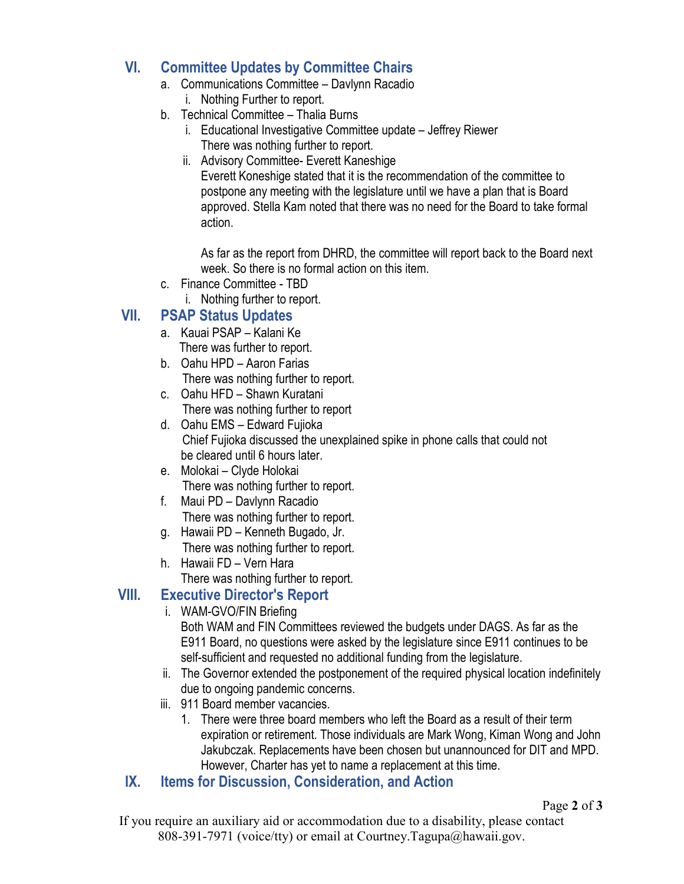## **VI. Committee Updates by Committee Chairs**

- a. Communications Committee Davlynn Racadio
	- i. Nothing Further to report.
- b. Technical Committee Thalia Burns
	- i. Educational Investigative Committee update Jeffrey Riewer There was nothing further to report.
	- ii. Advisory Committee- Everett Kaneshige Everett Koneshige stated that it is the recommendation of the committee to postpone any meeting with the legislature until we have a plan that is Board approved. Stella Kam noted that there was no need for the Board to take formal action.

As far as the report from DHRD, the committee will report back to the Board next week. So there is no formal action on this item.

- c. Finance Committee TBD
	- i. Nothing further to report.

## **VII. PSAP Status Updates**

- a. Kauai PSAP Kalani Ke There was further to report.
- b. Oahu HPD Aaron Farias There was nothing further to report.
- c. Oahu HFD Shawn Kuratani There was nothing further to report
- d. Oahu EMS Edward Fujioka Chief Fujioka discussed the unexplained spike in phone calls that could not be cleared until 6 hours later.
- e. Molokai Clyde Holokai There was nothing further to report.
- f. Maui PD Davlynn Racadio There was nothing further to report.
- g. Hawaii PD Kenneth Bugado, Jr. There was nothing further to report.
- h. Hawaii FD Vern Hara There was nothing further to report.

#### **VIII. Executive Director's Report**

- i. WAM-GVO/FIN Briefing Both WAM and FIN Committees reviewed the budgets under DAGS. As far as the E911 Board, no questions were asked by the legislature since E911 continues to be self-sufficient and requested no additional funding from the legislature.
- ii. The Governor extended the postponement of the required physical location indefinitely due to ongoing pandemic concerns.
- iii. 911 Board member vacancies.
	- 1. There were three board members who left the Board as a result of their term expiration or retirement. Those individuals are Mark Wong, Kiman Wong and John Jakubczak. Replacements have been chosen but unannounced for DIT and MPD. However, Charter has yet to name a replacement at this time.
- **IX. Items for Discussion, Consideration, and Action**

Page **2** of **3**

If you require an auxiliary aid or accommodation due to a disability, please contact 808-391-7971 (voice/tty) or email at Courtney.Tagupa@hawaii.gov.